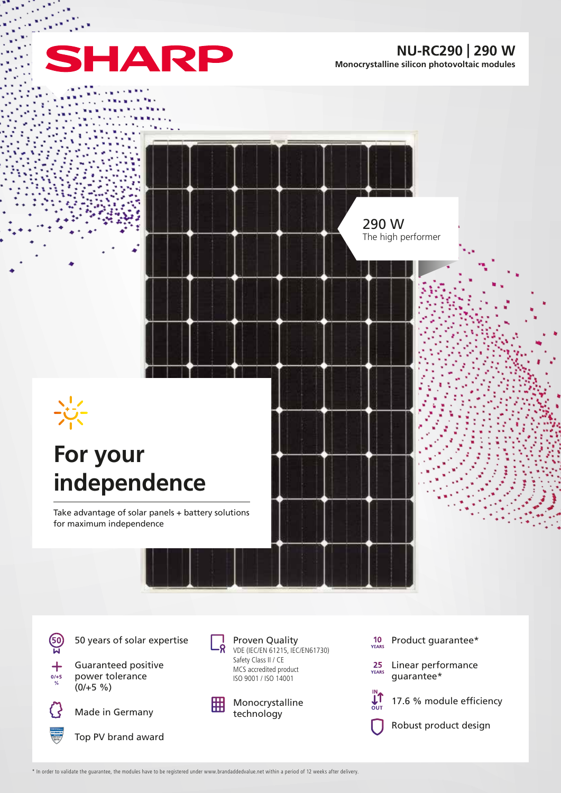

**NU-RC290 | 290 W Monocrystalline silicon photovoltaic modules**

 $\sim$  10 290 W The high performer **For your independence** Take advantage of solar panels + battery solutions for maximum independence

**60** 

 $\frac{1}{2}$ 

50 years of solar expertise





Made in Germany







Proven Quality VDE (IEC/EN 61215, IEC/EN61730) Safety Class II / CE MCS accredited product ISO 9001 / ISO 14001



Monocrystalline technology

- $10$ <br>YEARS Product guarantee\*
- $25$ <br>YEARS Linear performance guarantee\*



17.6 % module efficiency

Robust product design